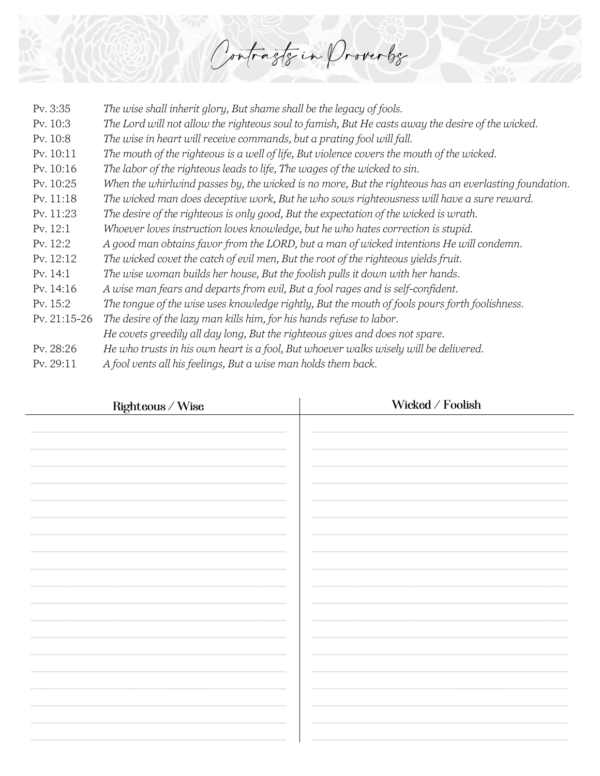Contrasts in Proverbs

| Pv. 3:35     | The wise shall inherit glory, But shame shall be the legacy of fools.                                 |
|--------------|-------------------------------------------------------------------------------------------------------|
| Pv. 10:3     | The Lord will not allow the righteous soul to famish, But He casts away the desire of the wicked.     |
| Pv. 10:8     | The wise in heart will receive commands, but a prating fool will fall.                                |
| Pv. 10:11    | The mouth of the righteous is a well of life, But violence covers the mouth of the wicked.            |
| Pv. 10:16    | The labor of the righteous leads to life, The wages of the wicked to sin.                             |
| Pv. 10:25    | When the whirlwind passes by, the wicked is no more, But the righteous has an everlasting foundation. |
| Pv. 11:18    | The wicked man does deceptive work, But he who sows righteousness will have a sure reward.            |
| Pv. 11:23    | The desire of the righteous is only good, But the expectation of the wicked is wrath.                 |
| Pv. 12:1     | Whoever loves instruction loves knowledge, but he who hates correction is stupid.                     |
| Pv. 12:2     | A good man obtains favor from the LORD, but a man of wicked intentions He will condemn.               |
| Pv. 12:12    | The wicked covet the catch of evil men, But the root of the righteous yields fruit.                   |
| Pv. 14:1     | The wise woman builds her house, But the foolish pulls it down with her hands.                        |
| Pv. 14:16    | A wise man fears and departs from evil, But a fool rages and is self-confident.                       |
| Pv. 15:2     | The tongue of the wise uses knowledge rightly, But the mouth of fools pours forth foolishness.        |
| Pv. 21:15-26 | The desire of the lazy man kills him, for his hands refuse to labor.                                  |
|              | He covets greedily all day long, But the righteous gives and does not spare.                          |
| Pv. 28:26    | He who trusts in his own heart is a fool, But whoever walks wisely will be delivered.                 |
| Pv. 29:11    | A fool vents all his feelings, But a wise man holds them back.                                        |
|              |                                                                                                       |

| $\mbox{Righteous}\,/\, \mbox{Wise}$ | Wicked / Foolish |
|-------------------------------------|------------------|
|                                     |                  |
|                                     |                  |
|                                     |                  |
|                                     |                  |
|                                     |                  |
|                                     |                  |
|                                     |                  |
|                                     |                  |
|                                     |                  |
|                                     |                  |
|                                     |                  |
|                                     |                  |
|                                     |                  |
|                                     |                  |
|                                     |                  |
|                                     |                  |
|                                     |                  |
|                                     |                  |
|                                     |                  |
|                                     |                  |
|                                     |                  |